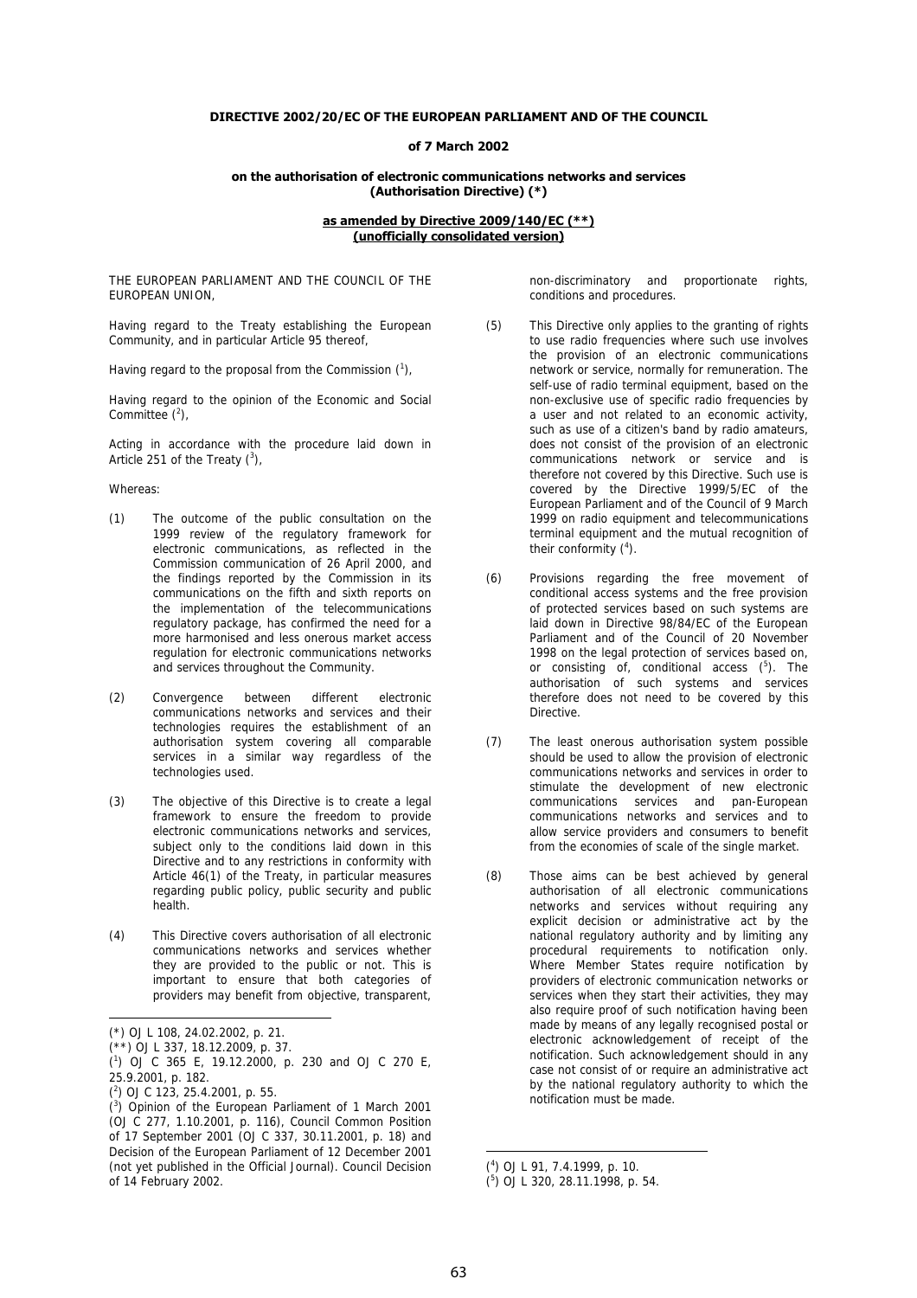## **DIRECTIVE 2002/20/EC OF THE EUROPEAN PARLIAMENT AND OF THE COUNCIL**

## **of 7 March 2002**

#### **on the authorisation of electronic communications networks and services (Authorisation Directive) (\*)**

## **as amended by Directive 2009/140/EC (\*\*) (unofficially consolidated version)**

THE EUROPEAN PARLIAMENT AND THE COUNCIL OF THE EUROPEAN UNION,

Having regard to the Treaty establishing the European Community, and in particular Article 95 thereof,

Having regard to the proposal from the Commission (1),

Having regard to the opinion of the Economic and Social Committee (<sup>2</sup>),

Acting in accordance with the procedure laid down in Article 251 of the Treaty  $(3)$ ,

## Whereas:

- (1) The outcome of the public consultation on the 1999 review of the regulatory framework for electronic communications, as reflected in the Commission communication of 26 April 2000, and the findings reported by the Commission in its communications on the fifth and sixth reports on the implementation of the telecommunications regulatory package, has confirmed the need for a more harmonised and less onerous market access regulation for electronic communications networks and services throughout the Community.
- (2) Convergence between different electronic communications networks and services and their technologies requires the establishment of an authorisation system covering all comparable services in a similar way regardless of the technologies used.
- (3) The objective of this Directive is to create a legal framework to ensure the freedom to provide electronic communications networks and services, subject only to the conditions laid down in this Directive and to any restrictions in conformity with Article 46(1) of the Treaty, in particular measures regarding public policy, public security and public health.
- (4) This Directive covers authorisation of all electronic communications networks and services whether they are provided to the public or not. This is important to ensure that both categories of providers may benefit from objective, transparent,

 $\overline{a}$ 

non-discriminatory and proportionate rights, conditions and procedures.

- (5) This Directive only applies to the granting of rights to use radio frequencies where such use involves the provision of an electronic communications network or service, normally for remuneration. The self-use of radio terminal equipment, based on the non-exclusive use of specific radio frequencies by a user and not related to an economic activity, such as use of a citizen's band by radio amateurs, does not consist of the provision of an electronic communications network or service and is therefore not covered by this Directive. Such use is covered by the Directive 1999/5/EC of the European Parliament and of the Council of 9 March 1999 on radio equipment and telecommunications terminal equipment and the mutual recognition of their conformity (4).
- (6) Provisions regarding the free movement of conditional access systems and the free provision of protected services based on such systems are laid down in Directive 98/84/EC of the European Parliament and of the Council of 20 November 1998 on the legal protection of services based on, or consisting of, conditional access  $(^{5})$ . The authorisation of such systems and services therefore does not need to be covered by this Directive.
- (7) The least onerous authorisation system possible should be used to allow the provision of electronic communications networks and services in order to stimulate the development of new electronic communications services and pan-European communications networks and services and to allow service providers and consumers to benefit from the economies of scale of the single market.
- (8) Those aims can be best achieved by general authorisation of all electronic communications networks and services without requiring any explicit decision or administrative act by the national regulatory authority and by limiting any procedural requirements to notification only. Where Member States require notification by providers of electronic communication networks or services when they start their activities, they may also require proof of such notification having been made by means of any legally recognised postal or electronic acknowledgement of receipt of the notification. Such acknowledgement should in any case not consist of or require an administrative act by the national regulatory authority to which the notification must be made.

 $\overline{\phantom{a}}$ 

<sup>(\*)</sup> OJ L 108, 24.02.2002, p. 21.

<sup>(\*\*)</sup> OJ L 337, 18.12.2009, p. 37.

<sup>(</sup> 1 ) OJ C 365 E, 19.12.2000, p. 230 and OJ C 270 E,

<sup>25.9.2001,</sup> p. 182.

<sup>(</sup> 2 ) OJ C 123, 25.4.2001, p. 55.

<sup>(</sup> 3 ) Opinion of the European Parliament of 1 March 2001 (OJ C 277, 1.10.2001, p. 116), Council Common Position of 17 September 2001 (OJ C 337, 30.11.2001, p. 18) and Decision of the European Parliament of 12 December 2001 (not yet published in the Official Journal). Council Decision of 14 February 2002.

<sup>(</sup> 4 ) OJ L 91, 7.4.1999, p. 10.

<sup>(</sup> 5 ) OJ L 320, 28.11.1998, p. 54.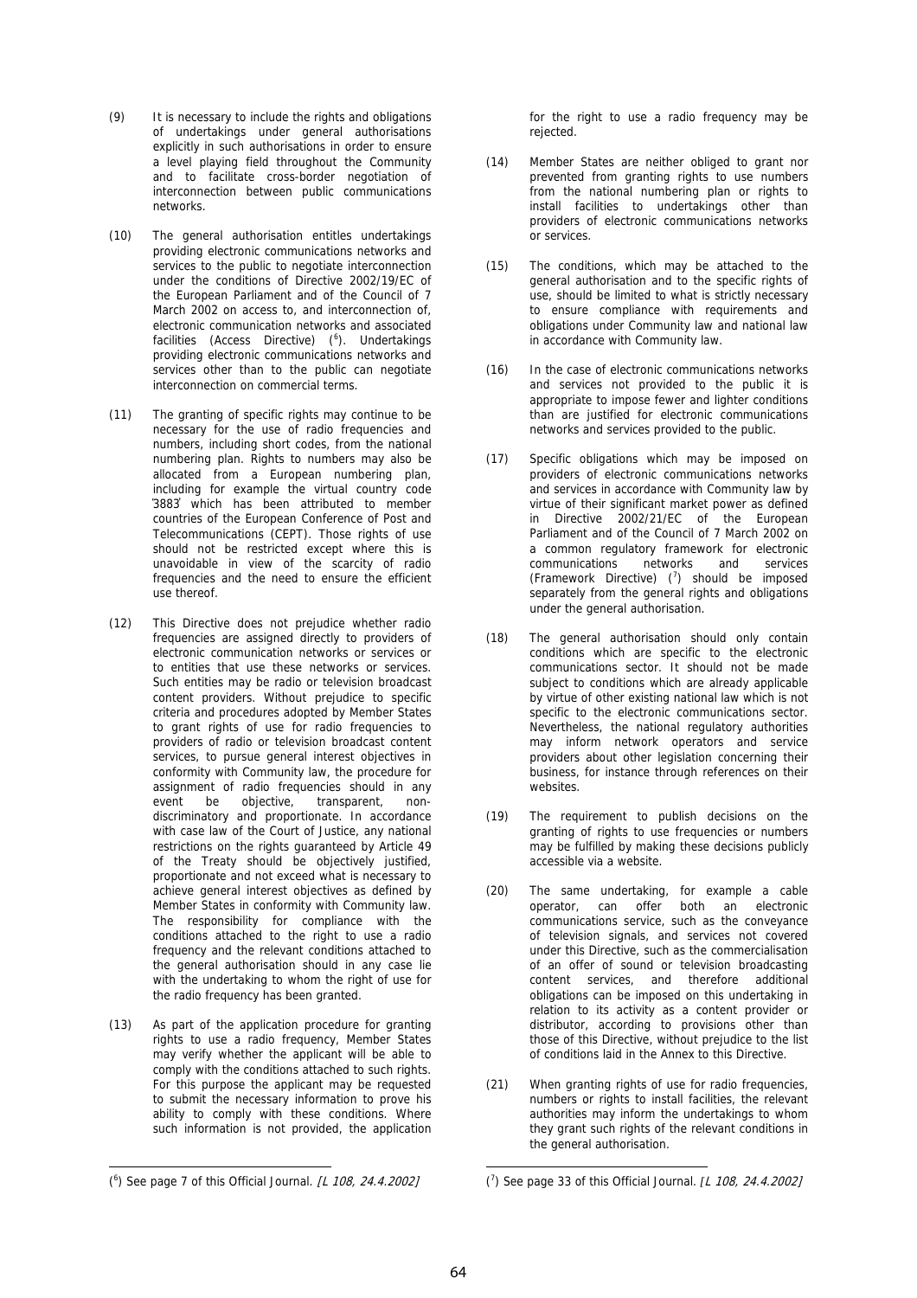- (9) It is necessary to include the rights and obligations of undertakings under general authorisations explicitly in such authorisations in order to ensure a level playing field throughout the Community and to facilitate cross-border negotiation of interconnection between public communications networks.
- (10) The general authorisation entitles undertakings providing electronic communications networks and services to the public to negotiate interconnection under the conditions of Directive 2002/19/EC of the European Parliament and of the Council of 7 March 2002 on access to, and interconnection of, electronic communication networks and associated facilities (Access Directive) (<sup>6</sup>). Undertakings providing electronic communications networks and services other than to the public can negotiate interconnection on commercial terms.
- (11) The granting of specific rights may continue to be necessary for the use of radio frequencies and numbers, including short codes, from the national numbering plan. Rights to numbers may also be allocated from a European numbering plan, including for example the virtual country code ̒3883̓ which has been attributed to member countries of the European Conference of Post and Telecommunications (CEPT). Those rights of use should not be restricted except where this is unavoidable in view of the scarcity of radio frequencies and the need to ensure the efficient use thereof.
- (12) This Directive does not prejudice whether radio frequencies are assigned directly to providers of electronic communication networks or services or to entities that use these networks or services. Such entities may be radio or television broadcast content providers. Without prejudice to specific criteria and procedures adopted by Member States to grant rights of use for radio frequencies to providers of radio or television broadcast content services, to pursue general interest objectives in conformity with Community law, the procedure for assignment of radio frequencies should in any event be objective, transparent, nondiscriminatory and proportionate. In accordance with case law of the Court of Justice, any national restrictions on the rights guaranteed by Article 49 of the Treaty should be objectively justified, proportionate and not exceed what is necessary to achieve general interest objectives as defined by Member States in conformity with Community law. The responsibility for compliance with the conditions attached to the right to use a radio frequency and the relevant conditions attached to the general authorisation should in any case lie with the undertaking to whom the right of use for the radio frequency has been granted.
- (13) As part of the application procedure for granting rights to use a radio frequency, Member States may verify whether the applicant will be able to comply with the conditions attached to such rights. For this purpose the applicant may be requested to submit the necessary information to prove his ability to comply with these conditions. Where such information is not provided, the application

 $\overline{\phantom{a}}$ 

for the right to use a radio frequency may be rejected.

- (14) Member States are neither obliged to grant nor prevented from granting rights to use numbers from the national numbering plan or rights to install facilities to undertakings other than providers of electronic communications networks or services.
- (15) The conditions, which may be attached to the general authorisation and to the specific rights of use, should be limited to what is strictly necessary to ensure compliance with requirements and obligations under Community law and national law in accordance with Community law.
- (16) In the case of electronic communications networks and services not provided to the public it is appropriate to impose fewer and lighter conditions than are justified for electronic communications networks and services provided to the public.
- (17) Specific obligations which may be imposed on providers of electronic communications networks and services in accordance with Community law by virtue of their significant market power as defined in Directive 2002/21/EC of the European Parliament and of the Council of 7 March 2002 on a common regulatory framework for electronic<br>communications networks and services communications networks and (Framework Directive) (<sup>7</sup>) should be imposed separately from the general rights and obligations under the general authorisation.
- (18) The general authorisation should only contain conditions which are specific to the electronic communications sector. It should not be made subject to conditions which are already applicable by virtue of other existing national law which is not specific to the electronic communications sector. Nevertheless, the national regulatory authorities may inform network operators and service providers about other legislation concerning their business, for instance through references on their websites.
- (19) The requirement to publish decisions on the granting of rights to use frequencies or numbers may be fulfilled by making these decisions publicly accessible via a website.
- (20) The same undertaking, for example a cable operator, can offer both an electronic communications service, such as the conveyance of television signals, and services not covered under this Directive, such as the commercialisation of an offer of sound or television broadcasting content services, and therefore additional obligations can be imposed on this undertaking in relation to its activity as a content provider or distributor, according to provisions other than those of this Directive, without prejudice to the list of conditions laid in the Annex to this Directive.
- (21) When granting rights of use for radio frequencies, numbers or rights to install facilities, the relevant authorities may inform the undertakings to whom they grant such rights of the relevant conditions in the general authorisation.

 $\overline{a}$ 

 $(6)$  See page 7 of this Official Journal.  $/L$  108, 24.4.2002]

<sup>(</sup> 7 ) See page 33 of this Official Journal. *[*L 108, 24.4.2002]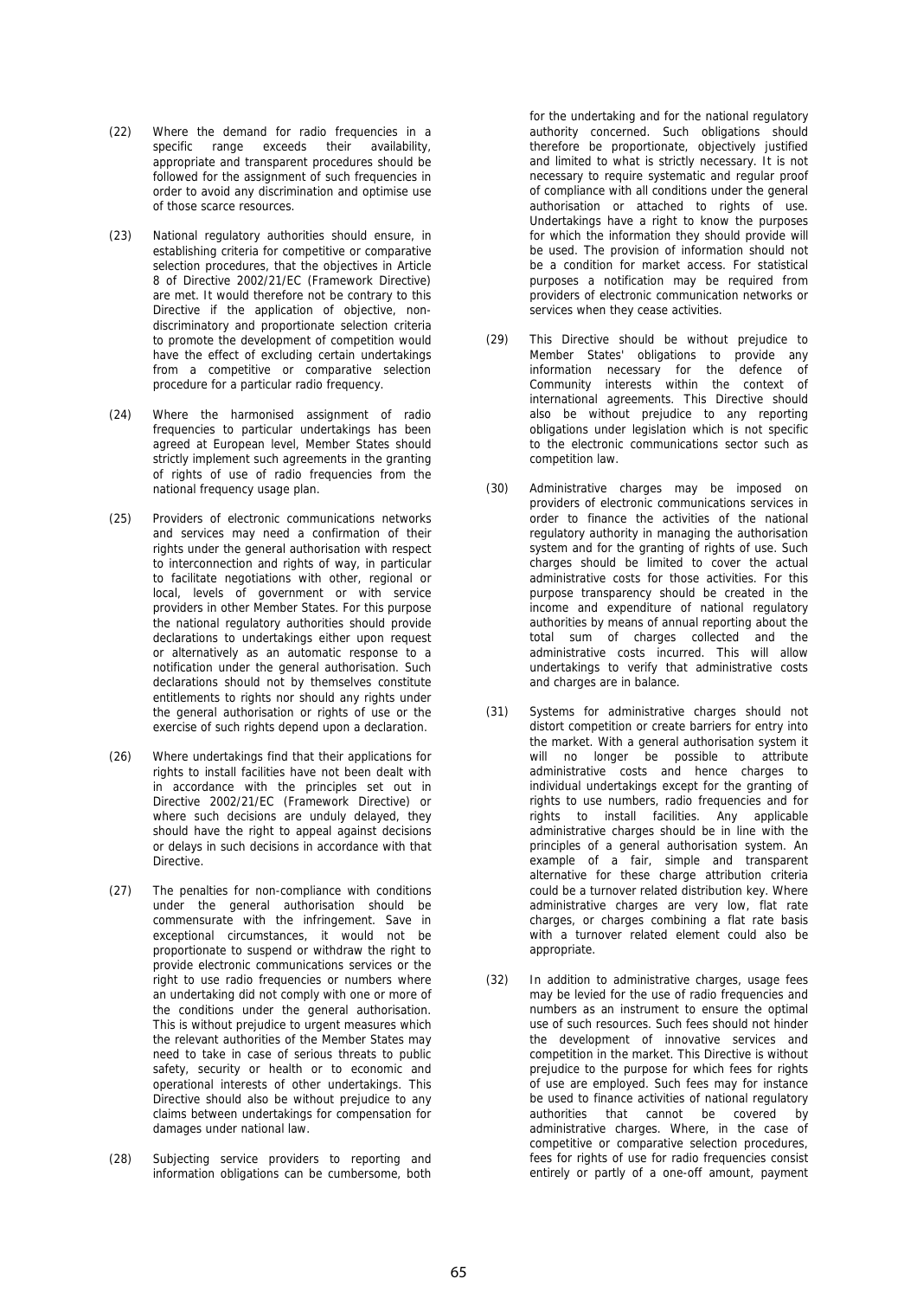- (22) Where the demand for radio frequencies in a specific range exceeds their availability, appropriate and transparent procedures should be followed for the assignment of such frequencies in order to avoid any discrimination and optimise use of those scarce resources.
- (23) National regulatory authorities should ensure, in establishing criteria for competitive or comparative selection procedures, that the objectives in Article 8 of Directive 2002/21/EC (Framework Directive) are met. It would therefore not be contrary to this Directive if the application of objective, nondiscriminatory and proportionate selection criteria to promote the development of competition would have the effect of excluding certain undertakings from a competitive or comparative selection procedure for a particular radio frequency.
- (24) Where the harmonised assignment of radio frequencies to particular undertakings has been agreed at European level, Member States should strictly implement such agreements in the granting of rights of use of radio frequencies from the national frequency usage plan.
- (25) Providers of electronic communications networks and services may need a confirmation of their rights under the general authorisation with respect to interconnection and rights of way, in particular to facilitate negotiations with other, regional or local, levels of government or with service providers in other Member States. For this purpose the national regulatory authorities should provide declarations to undertakings either upon request or alternatively as an automatic response to a notification under the general authorisation. Such declarations should not by themselves constitute entitlements to rights nor should any rights under the general authorisation or rights of use or the exercise of such rights depend upon a declaration.
- (26) Where undertakings find that their applications for rights to install facilities have not been dealt with in accordance with the principles set out in Directive 2002/21/EC (Framework Directive) or where such decisions are unduly delayed, they should have the right to appeal against decisions or delays in such decisions in accordance with that Directive.
- (27) The penalties for non-compliance with conditions under the general authorisation should be commensurate with the infringement. Save in exceptional circumstances, it would not be proportionate to suspend or withdraw the right to provide electronic communications services or the right to use radio frequencies or numbers where an undertaking did not comply with one or more of the conditions under the general authorisation. This is without prejudice to urgent measures which the relevant authorities of the Member States may need to take in case of serious threats to public safety, security or health or to economic and operational interests of other undertakings. This Directive should also be without prejudice to any claims between undertakings for compensation for damages under national law.
- (28) Subjecting service providers to reporting and information obligations can be cumbersome, both

for the undertaking and for the national regulatory authority concerned. Such obligations should therefore be proportionate, objectively justified and limited to what is strictly necessary. It is not necessary to require systematic and regular proof of compliance with all conditions under the general authorisation or attached to rights of use. Undertakings have a right to know the purposes for which the information they should provide will be used. The provision of information should not be a condition for market access. For statistical purposes a notification may be required from providers of electronic communication networks or services when they cease activities.

- (29) This Directive should be without prejudice to Member States' obligations to provide any information necessary for the defence of Community interests within the context of international agreements. This Directive should also be without prejudice to any reporting obligations under legislation which is not specific to the electronic communications sector such as competition law.
- (30) Administrative charges may be imposed on providers of electronic communications services in order to finance the activities of the national regulatory authority in managing the authorisation system and for the granting of rights of use. Such charges should be limited to cover the actual administrative costs for those activities. For this purpose transparency should be created in the income and expenditure of national regulatory authorities by means of annual reporting about the total sum of charges collected and the administrative costs incurred. This will allow undertakings to verify that administrative costs and charges are in balance.
- (31) Systems for administrative charges should not distort competition or create barriers for entry into the market. With a general authorisation system it will no longer be possible to attribute administrative costs and hence charges to individual undertakings except for the granting of rights to use numbers, radio frequencies and for rights to install facilities. Any applicable administrative charges should be in line with the principles of a general authorisation system. An example of a fair, simple and transparent alternative for these charge attribution criteria could be a turnover related distribution key. Where administrative charges are very low, flat rate charges, or charges combining a flat rate basis with a turnover related element could also be appropriate.
- (32) In addition to administrative charges, usage fees may be levied for the use of radio frequencies and numbers as an instrument to ensure the optimal use of such resources. Such fees should not hinder the development of innovative services and competition in the market. This Directive is without prejudice to the purpose for which fees for rights of use are employed. Such fees may for instance be used to finance activities of national regulatory authorities that cannot be covered by administrative charges. Where, in the case of competitive or comparative selection procedures, fees for rights of use for radio frequencies consist entirely or partly of a one-off amount, payment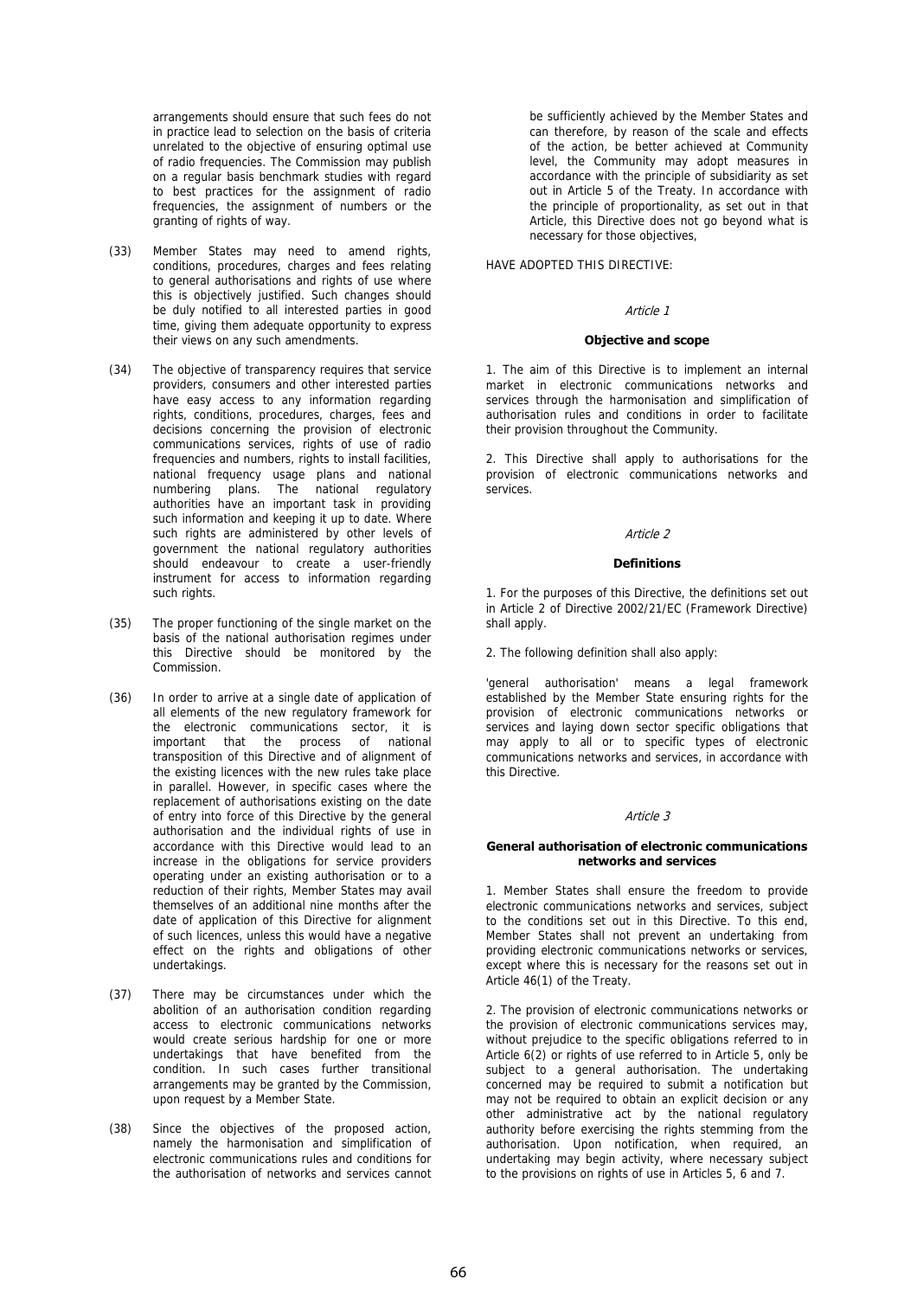arrangements should ensure that such fees do not in practice lead to selection on the basis of criteria unrelated to the objective of ensuring optimal use of radio frequencies. The Commission may publish on a regular basis benchmark studies with regard to best practices for the assignment of radio frequencies, the assignment of numbers or the granting of rights of way.

- (33) Member States may need to amend rights, conditions, procedures, charges and fees relating to general authorisations and rights of use where this is objectively justified. Such changes should be duly notified to all interested parties in good time, giving them adequate opportunity to express their views on any such amendments.
- (34) The objective of transparency requires that service providers, consumers and other interested parties have easy access to any information regarding rights, conditions, procedures, charges, fees and decisions concerning the provision of electronic communications services, rights of use of radio frequencies and numbers, rights to install facilities, national frequency usage plans and national numbering plans. The national regulatory authorities have an important task in providing such information and keeping it up to date. Where such rights are administered by other levels of government the national regulatory authorities should endeavour to create a user-friendly instrument for access to information regarding such rights.
- (35) The proper functioning of the single market on the basis of the national authorisation regimes under this Directive should be monitored by the Commission.
- (36) In order to arrive at a single date of application of all elements of the new regulatory framework for the electronic communications sector, it is important that the process of national transposition of this Directive and of alignment of the existing licences with the new rules take place in parallel. However, in specific cases where the replacement of authorisations existing on the date of entry into force of this Directive by the general authorisation and the individual rights of use in accordance with this Directive would lead to an increase in the obligations for service providers operating under an existing authorisation or to a reduction of their rights, Member States may avail themselves of an additional nine months after the date of application of this Directive for alignment of such licences, unless this would have a negative effect on the rights and obligations of other undertakings.
- (37) There may be circumstances under which the abolition of an authorisation condition regarding access to electronic communications networks would create serious hardship for one or more undertakings that have benefited from the condition. In such cases further transitional arrangements may be granted by the Commission, upon request by a Member State.
- (38) Since the objectives of the proposed action, namely the harmonisation and simplification of electronic communications rules and conditions for the authorisation of networks and services cannot

be sufficiently achieved by the Member States and can therefore, by reason of the scale and effects of the action, be better achieved at Community level, the Community may adopt measures in accordance with the principle of subsidiarity as set out in Article 5 of the Treaty. In accordance with the principle of proportionality, as set out in that Article, this Directive does not go beyond what is necessary for those objectives,

HAVE ADOPTED THIS DIRECTIVE:

## Article 1

### **Objective and scope**

1. The aim of this Directive is to implement an internal market in electronic communications networks and services through the harmonisation and simplification of authorisation rules and conditions in order to facilitate their provision throughout the Community.

2. This Directive shall apply to authorisations for the provision of electronic communications networks and services.

### Article 2

#### **Definitions**

1. For the purposes of this Directive, the definitions set out in Article 2 of Directive 2002/21/EC (Framework Directive) shall apply.

2. The following definition shall also apply:

'general authorisation' means a legal framework established by the Member State ensuring rights for the provision of electronic communications networks or services and laying down sector specific obligations that may apply to all or to specific types of electronic communications networks and services, in accordance with this Directive.

#### Article 3

### **General authorisation of electronic communications networks and services**

1. Member States shall ensure the freedom to provide electronic communications networks and services, subject to the conditions set out in this Directive. To this end, Member States shall not prevent an undertaking from providing electronic communications networks or services, except where this is necessary for the reasons set out in Article 46(1) of the Treaty.

2. The provision of electronic communications networks or the provision of electronic communications services may, without prejudice to the specific obligations referred to in Article 6(2) or rights of use referred to in Article 5, only be subject to a general authorisation. The undertaking concerned may be required to submit a notification but may not be required to obtain an explicit decision or any other administrative act by the national regulatory authority before exercising the rights stemming from the authorisation. Upon notification, when required, an undertaking may begin activity, where necessary subject to the provisions on rights of use in Articles 5, 6 and 7.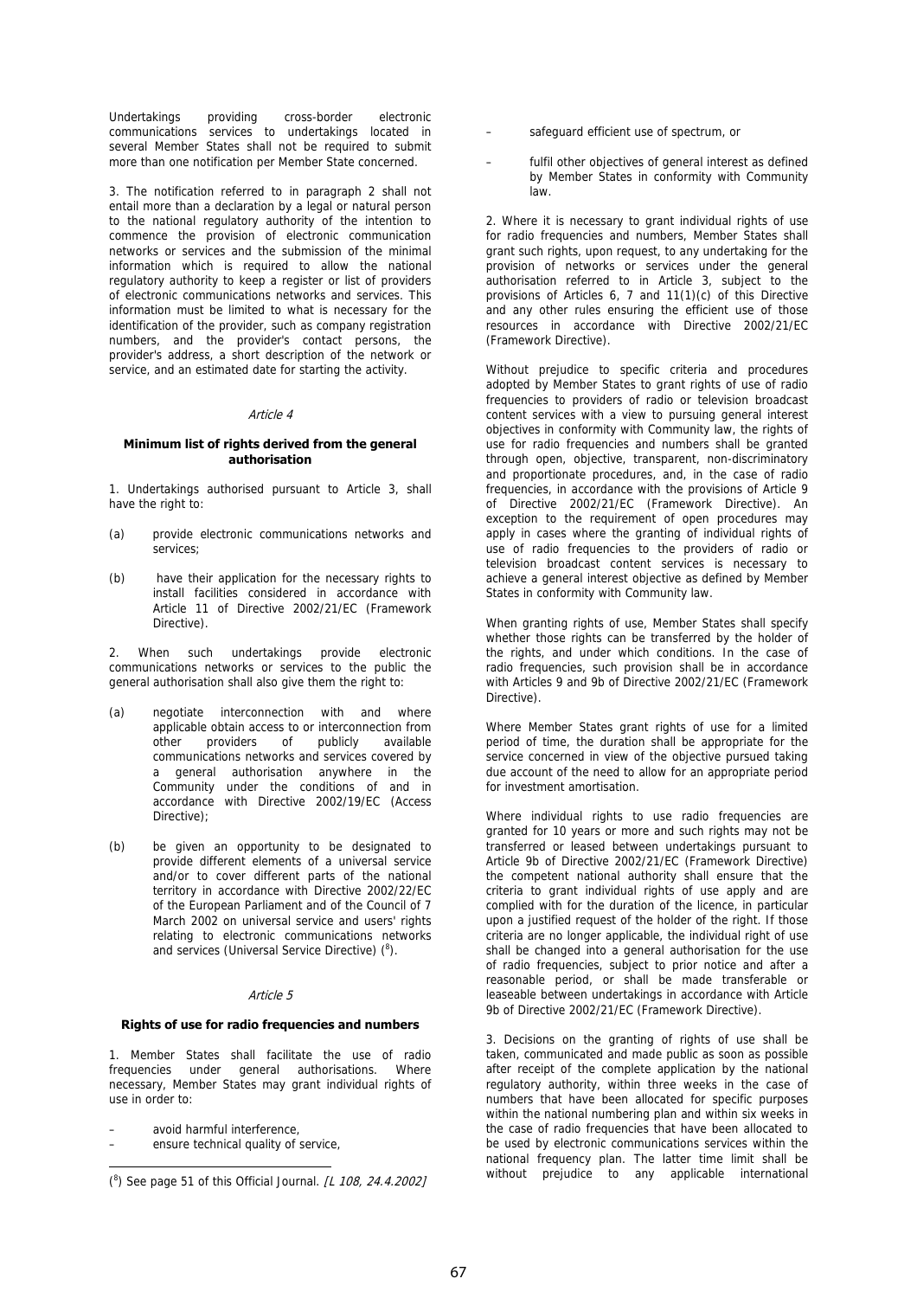Undertakings providing cross-border electronic communications services to undertakings located in several Member States shall not be required to submit more than one notification per Member State concerned.

3. The notification referred to in paragraph 2 shall not entail more than a declaration by a legal or natural person to the national regulatory authority of the intention to commence the provision of electronic communication networks or services and the submission of the minimal information which is required to allow the national regulatory authority to keep a register or list of providers of electronic communications networks and services. This information must be limited to what is necessary for the identification of the provider, such as company registration numbers, and the provider's contact persons, the provider's address, a short description of the network or service, and an estimated date for starting the activity.

## Article 4

#### **Minimum list of rights derived from the general authorisation**

1. Undertakings authorised pursuant to Article 3, shall have the right to:

- (a) provide electronic communications networks and services;
- (b) have their application for the necessary rights to install facilities considered in accordance with Article 11 of Directive 2002/21/EC (Framework Directive).

When such undertakings provide electronic communications networks or services to the public the general authorisation shall also give them the right to:

- (a) negotiate interconnection with and where applicable obtain access to or interconnection from<br>other sproviders of publicly available providers of publicly communications networks and services covered by a general authorisation anywhere in the Community under the conditions of and in accordance with Directive 2002/19/EC (Access Directive):
- (b) be given an opportunity to be designated to provide different elements of a universal service and/or to cover different parts of the national territory in accordance with Directive 2002/22/EC of the European Parliament and of the Council of 7 March 2002 on universal service and users' rights relating to electronic communications networks and services (Universal Service Directive) (<sup>8</sup>).

### Article 5

### **Rights of use for radio frequencies and numbers**

1. Member States shall facilitate the use of radio frequencies under general authorisations. Where necessary, Member States may grant individual rights of use in order to:

– avoid harmful interference,

 $\overline{\phantom{a}}$ 

– ensure technical quality of service,

- safeguard efficient use of spectrum, or
- fulfil other objectives of general interest as defined by Member States in conformity with Community law.

2. Where it is necessary to grant individual rights of use for radio frequencies and numbers, Member States shall grant such rights, upon request, to any undertaking for the provision of networks or services under the general authorisation referred to in Article 3, subject to the provisions of Articles 6, 7 and 11(1)(c) of this Directive and any other rules ensuring the efficient use of those resources in accordance with Directive 2002/21/EC (Framework Directive).

Without prejudice to specific criteria and procedures adopted by Member States to grant rights of use of radio frequencies to providers of radio or television broadcast content services with a view to pursuing general interest objectives in conformity with Community law, the rights of use for radio frequencies and numbers shall be granted through open, objective, transparent, non-discriminatory and proportionate procedures, and, in the case of radio frequencies, in accordance with the provisions of Article 9 of Directive 2002/21/EC (Framework Directive). An exception to the requirement of open procedures may apply in cases where the granting of individual rights of use of radio frequencies to the providers of radio or television broadcast content services is necessary to achieve a general interest objective as defined by Member States in conformity with Community law.

When granting rights of use, Member States shall specify whether those rights can be transferred by the holder of the rights, and under which conditions. In the case of radio frequencies, such provision shall be in accordance with Articles 9 and 9b of Directive 2002/21/EC (Framework Directive).

Where Member States grant rights of use for a limited period of time, the duration shall be appropriate for the service concerned in view of the objective pursued taking due account of the need to allow for an appropriate period for investment amortisation.

Where individual rights to use radio frequencies are granted for 10 years or more and such rights may not be transferred or leased between undertakings pursuant to Article 9b of Directive 2002/21/EC (Framework Directive) the competent national authority shall ensure that the criteria to grant individual rights of use apply and are complied with for the duration of the licence, in particular upon a justified request of the holder of the right. If those criteria are no longer applicable, the individual right of use shall be changed into a general authorisation for the use of radio frequencies, subject to prior notice and after a reasonable period, or shall be made transferable or leaseable between undertakings in accordance with Article 9b of Directive 2002/21/EC (Framework Directive).

3. Decisions on the granting of rights of use shall be taken, communicated and made public as soon as possible after receipt of the complete application by the national regulatory authority, within three weeks in the case of numbers that have been allocated for specific purposes within the national numbering plan and within six weeks in the case of radio frequencies that have been allocated to be used by electronic communications services within the national frequency plan. The latter time limit shall be without prejudice to any applicable international

 $(8)$  See page 51 of this Official Journal. [L 108, 24.4.2002]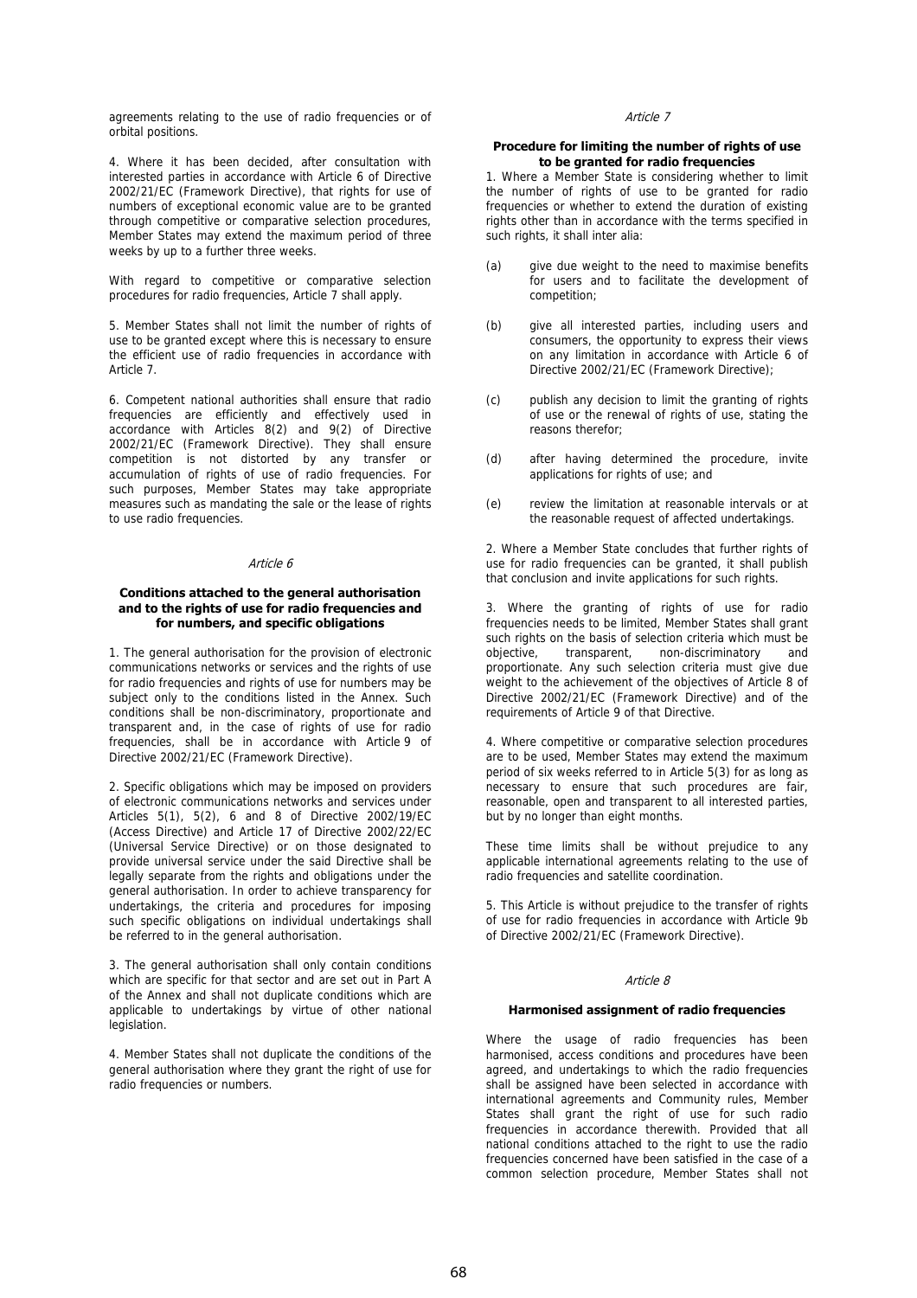agreements relating to the use of radio frequencies or of orbital positions.

4. Where it has been decided, after consultation with interested parties in accordance with Article 6 of Directive 2002/21/EC (Framework Directive), that rights for use of numbers of exceptional economic value are to be granted through competitive or comparative selection procedures, Member States may extend the maximum period of three weeks by up to a further three weeks.

With regard to competitive or comparative selection procedures for radio frequencies, Article 7 shall apply.

5. Member States shall not limit the number of rights of use to be granted except where this is necessary to ensure the efficient use of radio frequencies in accordance with Article 7.

6. Competent national authorities shall ensure that radio frequencies are efficiently and effectively used in accordance with Articles 8(2) and 9(2) of Directive 2002/21/EC (Framework Directive). They shall ensure competition is not distorted by any transfer or accumulation of rights of use of radio frequencies. For such purposes, Member States may take appropriate measures such as mandating the sale or the lease of rights to use radio frequencies.

#### Article 6

## **Conditions attached to the general authorisation and to the rights of use for radio frequencies and for numbers, and specific obligations**

1. The general authorisation for the provision of electronic communications networks or services and the rights of use for radio frequencies and rights of use for numbers may be subject only to the conditions listed in the Annex. Such conditions shall be non-discriminatory, proportionate and transparent and, in the case of rights of use for radio frequencies, shall be in accordance with Article 9 of Directive 2002/21/EC (Framework Directive).

2. Specific obligations which may be imposed on providers of electronic communications networks and services under Articles 5(1), 5(2), 6 and 8 of Directive 2002/19/EC (Access Directive) and Article 17 of Directive 2002/22/EC (Universal Service Directive) or on those designated to provide universal service under the said Directive shall be legally separate from the rights and obligations under the general authorisation. In order to achieve transparency for undertakings, the criteria and procedures for imposing such specific obligations on individual undertakings shall be referred to in the general authorisation.

3. The general authorisation shall only contain conditions which are specific for that sector and are set out in Part A of the Annex and shall not duplicate conditions which are applicable to undertakings by virtue of other national legislation.

4. Member States shall not duplicate the conditions of the general authorisation where they grant the right of use for radio frequencies or numbers.

# Article 7

### **Procedure for limiting the number of rights of use to be granted for radio frequencies**

1. Where a Member State is considering whether to limit the number of rights of use to be granted for radio frequencies or whether to extend the duration of existing rights other than in accordance with the terms specified in such rights, it shall inter alia:

- (a) give due weight to the need to maximise benefits for users and to facilitate the development of competition;
- (b) give all interested parties, including users and consumers, the opportunity to express their views on any limitation in accordance with Article 6 of Directive 2002/21/EC (Framework Directive);
- (c) publish any decision to limit the granting of rights of use or the renewal of rights of use, stating the reasons therefor;
- (d) after having determined the procedure, invite applications for rights of use; and
- (e) review the limitation at reasonable intervals or at the reasonable request of affected undertakings.

2. Where a Member State concludes that further rights of use for radio frequencies can be granted, it shall publish that conclusion and invite applications for such rights.

3. Where the granting of rights of use for radio frequencies needs to be limited, Member States shall grant such rights on the basis of selection criteria which must be objective, transparent, non-discriminatory and objective, transparent, non-discriminatory and proportionate. Any such selection criteria must give due weight to the achievement of the objectives of Article 8 of Directive 2002/21/EC (Framework Directive) and of the requirements of Article 9 of that Directive.

4. Where competitive or comparative selection procedures are to be used, Member States may extend the maximum period of six weeks referred to in Article 5(3) for as long as necessary to ensure that such procedures are fair, reasonable, open and transparent to all interested parties, but by no longer than eight months.

These time limits shall be without prejudice to any applicable international agreements relating to the use of radio frequencies and satellite coordination.

5. This Article is without prejudice to the transfer of rights of use for radio frequencies in accordance with Article 9b of Directive 2002/21/EC (Framework Directive).

### Article 8

### **Harmonised assignment of radio frequencies**

Where the usage of radio frequencies has been harmonised, access conditions and procedures have been agreed, and undertakings to which the radio frequencies shall be assigned have been selected in accordance with international agreements and Community rules, Member States shall grant the right of use for such radio frequencies in accordance therewith. Provided that all national conditions attached to the right to use the radio frequencies concerned have been satisfied in the case of a common selection procedure, Member States shall not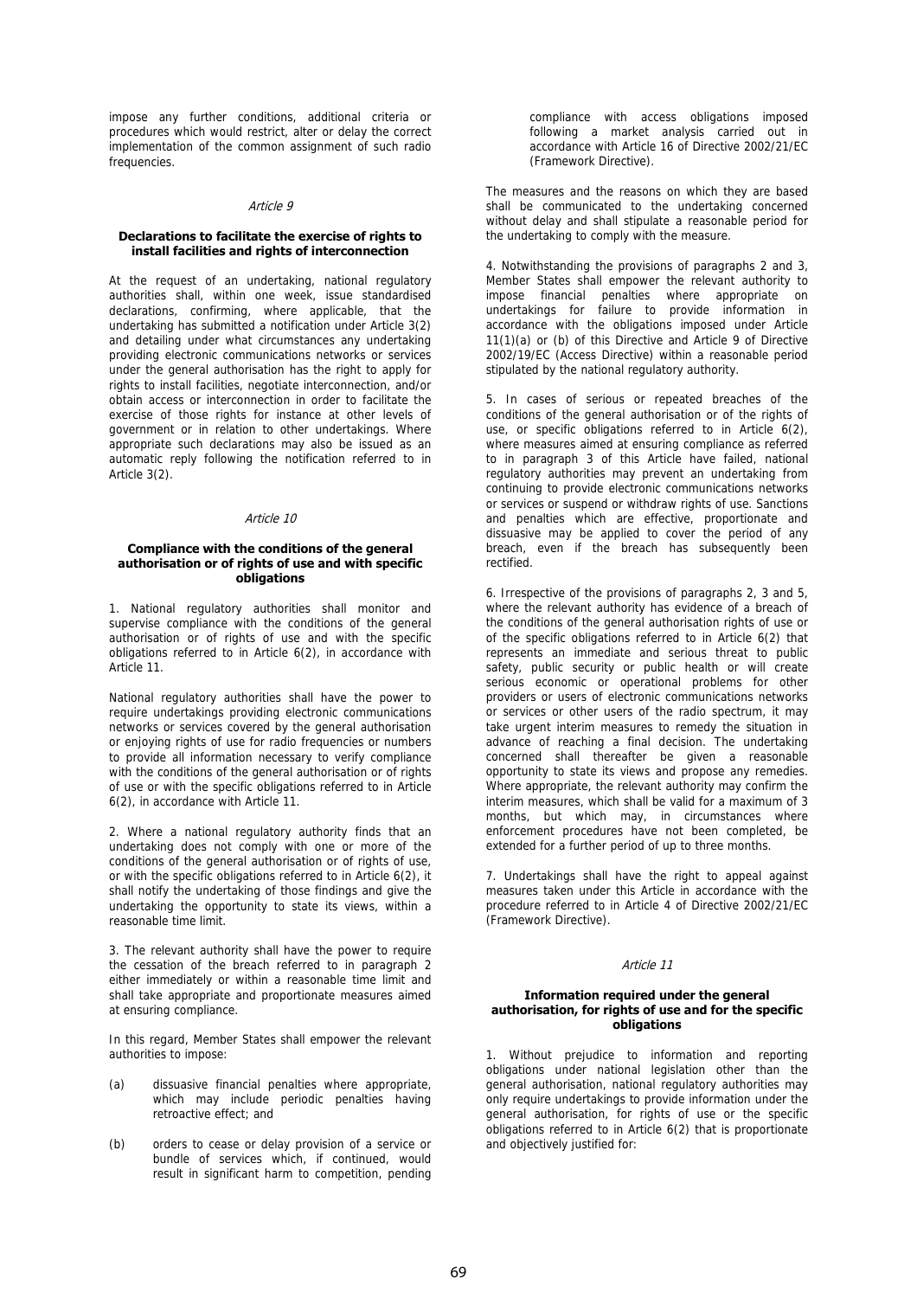impose any further conditions, additional criteria or procedures which would restrict, alter or delay the correct implementation of the common assignment of such radio frequencies.

#### Article 9

#### **Declarations to facilitate the exercise of rights to install facilities and rights of interconnection**

At the request of an undertaking, national regulatory authorities shall, within one week, issue standardised declarations, confirming, where applicable, that the undertaking has submitted a notification under Article 3(2) and detailing under what circumstances any undertaking providing electronic communications networks or services under the general authorisation has the right to apply for rights to install facilities, negotiate interconnection, and/or obtain access or interconnection in order to facilitate the exercise of those rights for instance at other levels of government or in relation to other undertakings. Where appropriate such declarations may also be issued as an automatic reply following the notification referred to in Article 3(2).

#### Article 10

#### **Compliance with the conditions of the general authorisation or of rights of use and with specific obligations**

1. National regulatory authorities shall monitor and supervise compliance with the conditions of the general authorisation or of rights of use and with the specific obligations referred to in Article 6(2), in accordance with Article 11.

National regulatory authorities shall have the power to require undertakings providing electronic communications networks or services covered by the general authorisation or enjoying rights of use for radio frequencies or numbers to provide all information necessary to verify compliance with the conditions of the general authorisation or of rights of use or with the specific obligations referred to in Article 6(2), in accordance with Article 11.

2. Where a national regulatory authority finds that an undertaking does not comply with one or more of the conditions of the general authorisation or of rights of use, or with the specific obligations referred to in Article 6(2), it shall notify the undertaking of those findings and give the undertaking the opportunity to state its views, within a reasonable time limit.

3. The relevant authority shall have the power to require the cessation of the breach referred to in paragraph 2 either immediately or within a reasonable time limit and shall take appropriate and proportionate measures aimed at ensuring compliance.

In this regard, Member States shall empower the relevant authorities to impose:

- (a) dissuasive financial penalties where appropriate, which may include periodic penalties having retroactive effect; and
- (b) orders to cease or delay provision of a service or bundle of services which, if continued, would result in significant harm to competition, pending

compliance with access obligations imposed following a market analysis carried out in accordance with Article 16 of Directive 2002/21/EC (Framework Directive).

The measures and the reasons on which they are based shall be communicated to the undertaking concerned without delay and shall stipulate a reasonable period for the undertaking to comply with the measure.

4. Notwithstanding the provisions of paragraphs 2 and 3, Member States shall empower the relevant authority to impose financial penalties where appropriate on undertakings for failure to provide information in accordance with the obligations imposed under Article 11(1)(a) or (b) of this Directive and Article 9 of Directive 2002/19/EC (Access Directive) within a reasonable period stipulated by the national regulatory authority.

5. In cases of serious or repeated breaches of the conditions of the general authorisation or of the rights of use, or specific obligations referred to in Article 6(2), where measures aimed at ensuring compliance as referred to in paragraph 3 of this Article have failed, national regulatory authorities may prevent an undertaking from continuing to provide electronic communications networks or services or suspend or withdraw rights of use. Sanctions and penalties which are effective, proportionate and dissuasive may be applied to cover the period of any breach, even if the breach has subsequently been rectified.

6. Irrespective of the provisions of paragraphs 2, 3 and 5, where the relevant authority has evidence of a breach of the conditions of the general authorisation rights of use or of the specific obligations referred to in Article 6(2) that represents an immediate and serious threat to public safety, public security or public health or will create serious economic or operational problems for other providers or users of electronic communications networks or services or other users of the radio spectrum, it may take urgent interim measures to remedy the situation in advance of reaching a final decision. The undertaking concerned shall thereafter be given a reasonable opportunity to state its views and propose any remedies. Where appropriate, the relevant authority may confirm the interim measures, which shall be valid for a maximum of 3 months, but which may, in circumstances where enforcement procedures have not been completed, be extended for a further period of up to three months.

7. Undertakings shall have the right to appeal against measures taken under this Article in accordance with the procedure referred to in Article 4 of Directive 2002/21/EC (Framework Directive).

#### Article 11

#### **Information required under the general authorisation, for rights of use and for the specific obligations**

1. Without prejudice to information and reporting obligations under national legislation other than the general authorisation, national regulatory authorities may only require undertakings to provide information under the general authorisation, for rights of use or the specific obligations referred to in Article 6(2) that is proportionate and objectively justified for: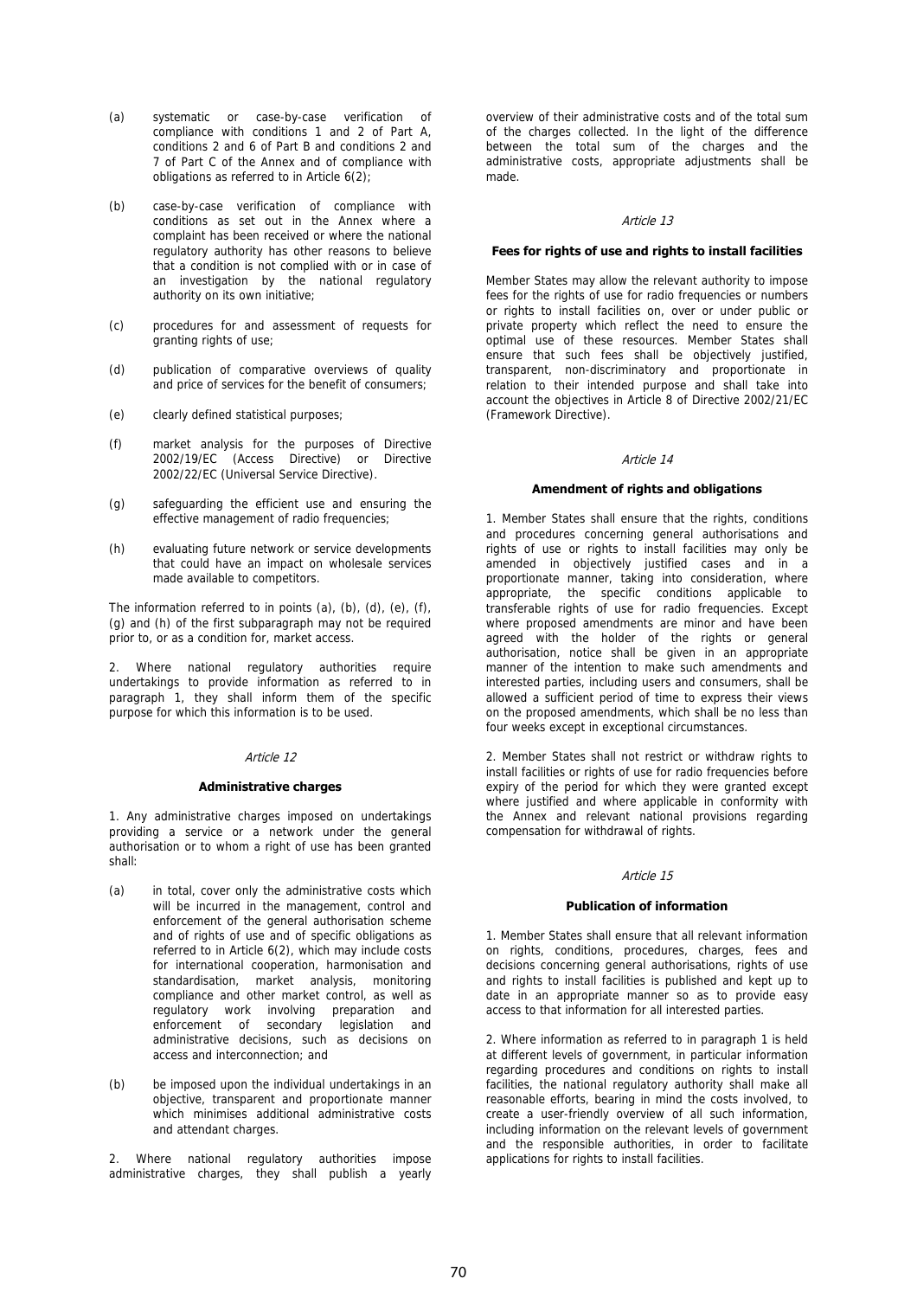- (a) systematic or case-by-case verification of compliance with conditions 1 and 2 of Part A, conditions 2 and 6 of Part B and conditions 2 and 7 of Part C of the Annex and of compliance with obligations as referred to in Article 6(2);
- (b) case-by-case verification of compliance with conditions as set out in the Annex where a complaint has been received or where the national regulatory authority has other reasons to believe that a condition is not complied with or in case of an investigation by the national regulatory authority on its own initiative;
- (c) procedures for and assessment of requests for granting rights of use;
- (d) publication of comparative overviews of quality and price of services for the benefit of consumers;
- (e) clearly defined statistical purposes;
- (f) market analysis for the purposes of Directive 2002/19/EC (Access Directive) or Directive 2002/22/EC (Universal Service Directive).
- (g) safeguarding the efficient use and ensuring the effective management of radio frequencies;
- (h) evaluating future network or service developments that could have an impact on wholesale services made available to competitors.

The information referred to in points (a), (b), (d), (e), (f), (g) and (h) of the first subparagraph may not be required prior to, or as a condition for, market access.

2. Where national regulatory authorities require undertakings to provide information as referred to in paragraph 1, they shall inform them of the specific purpose for which this information is to be used.

### Article 12

#### **Administrative charges**

1. Any administrative charges imposed on undertakings providing a service or a network under the general authorisation or to whom a right of use has been granted shall:

- (a) in total, cover only the administrative costs which will be incurred in the management, control and enforcement of the general authorisation scheme and of rights of use and of specific obligations as referred to in Article 6(2), which may include costs for international cooperation, harmonisation and standardisation, market analysis, monitoring compliance and other market control, as well as regulatory work involving preparation and enforcement of secondary legislation and administrative decisions, such as decisions on access and interconnection; and
- (b) be imposed upon the individual undertakings in an objective, transparent and proportionate manner which minimises additional administrative costs and attendant charges.

2. Where national regulatory authorities impose administrative charges, they shall publish a yearly overview of their administrative costs and of the total sum of the charges collected. In the light of the difference between the total sum of the charges and the administrative costs, appropriate adjustments shall be made.

## Article 13

#### **Fees for rights of use and rights to install facilities**

Member States may allow the relevant authority to impose from the rights of use for radio frequencies or numbers or rights to install facilities on, over or under public or private property which reflect the need to ensure the optimal use of these resources. Member States shall ensure that such fees shall be objectively justified, transparent, non-discriminatory and proportionate in relation to their intended purpose and shall take into account the objectives in Article 8 of Directive 2002/21/EC (Framework Directive).

### Article 14

## **Amendment of rights and obligations**

1. Member States shall ensure that the rights, conditions and procedures concerning general authorisations and rights of use or rights to install facilities may only be amended in objectively justified cases and in a proportionate manner, taking into consideration, where appropriate, the specific conditions applicable to transferable rights of use for radio frequencies. Except where proposed amendments are minor and have been agreed with the holder of the rights or general authorisation, notice shall be given in an appropriate manner of the intention to make such amendments and interested parties, including users and consumers, shall be allowed a sufficient period of time to express their views on the proposed amendments, which shall be no less than four weeks except in exceptional circumstances.

2. Member States shall not restrict or withdraw rights to install facilities or rights of use for radio frequencies before expiry of the period for which they were granted except where justified and where applicable in conformity with the Annex and relevant national provisions regarding compensation for withdrawal of rights.

### Article 15

### **Publication of information**

1. Member States shall ensure that all relevant information on rights, conditions, procedures, charges, fees and decisions concerning general authorisations, rights of use and rights to install facilities is published and kept up to date in an appropriate manner so as to provide easy access to that information for all interested parties.

2. Where information as referred to in paragraph 1 is held at different levels of government, in particular information regarding procedures and conditions on rights to install facilities, the national regulatory authority shall make all reasonable efforts, bearing in mind the costs involved, to create a user-friendly overview of all such information, including information on the relevant levels of government and the responsible authorities, in order to facilitate applications for rights to install facilities.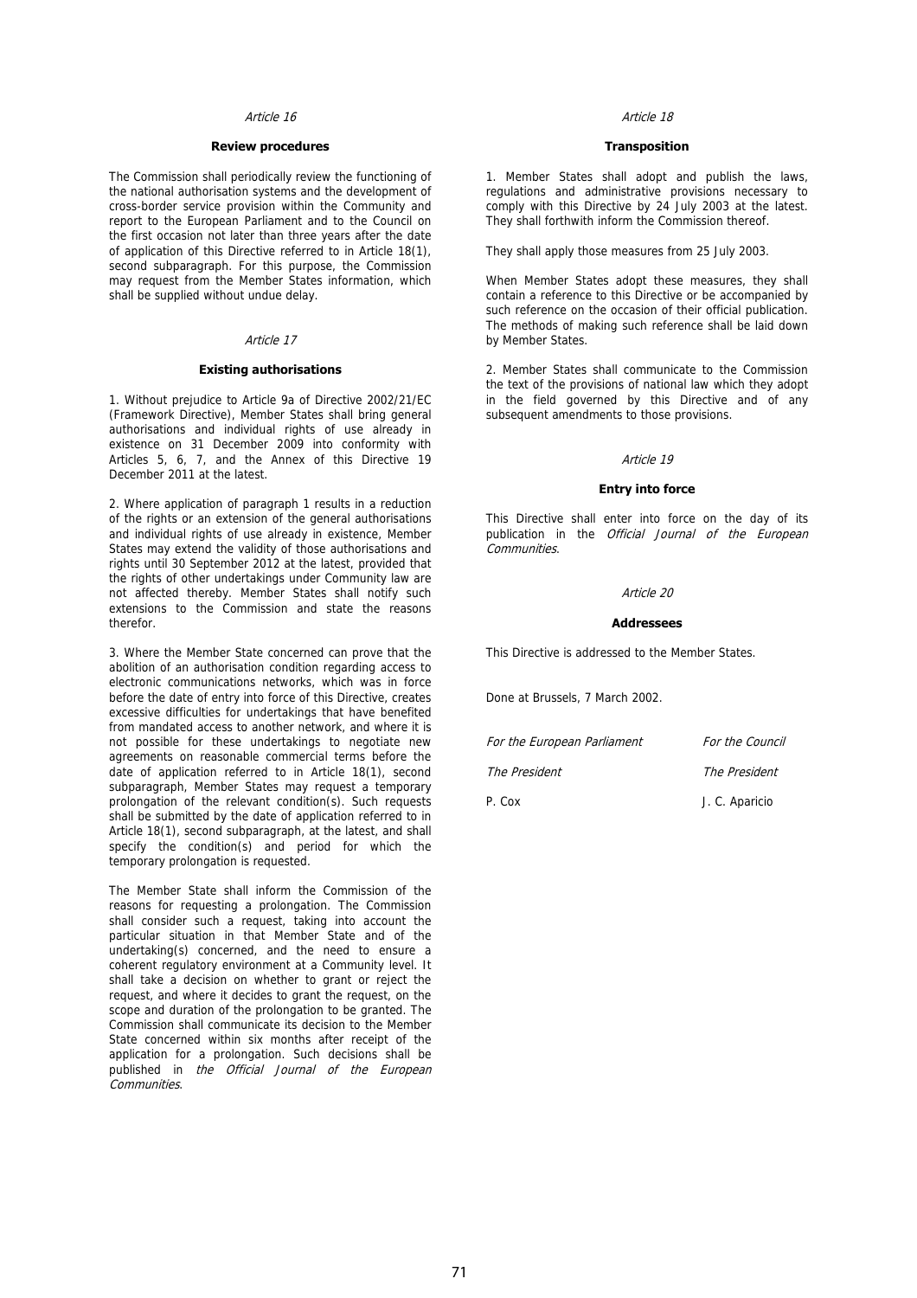### Article 16

### **Review procedures**

The Commission shall periodically review the functioning of the national authorisation systems and the development of cross-border service provision within the Community and report to the European Parliament and to the Council on the first occasion not later than three years after the date of application of this Directive referred to in Article 18(1), second subparagraph. For this purpose, the Commission may request from the Member States information, which shall be supplied without undue delay.

#### Article 17

### **Existing authorisations**

1. Without prejudice to Article 9a of Directive 2002/21/EC (Framework Directive), Member States shall bring general authorisations and individual rights of use already in existence on 31 December 2009 into conformity with Articles 5, 6, 7, and the Annex of this Directive 19 December 2011 at the latest.

2. Where application of paragraph 1 results in a reduction of the rights or an extension of the general authorisations and individual rights of use already in existence, Member States may extend the validity of those authorisations and rights until 30 September 2012 at the latest, provided that the rights of other undertakings under Community law are not affected thereby. Member States shall notify such extensions to the Commission and state the reasons therefor.

3. Where the Member State concerned can prove that the abolition of an authorisation condition regarding access to electronic communications networks, which was in force before the date of entry into force of this Directive, creates excessive difficulties for undertakings that have benefited from mandated access to another network, and where it is not possible for these undertakings to negotiate new agreements on reasonable commercial terms before the date of application referred to in Article 18(1), second subparagraph, Member States may request a temporary prolongation of the relevant condition(s). Such requests shall be submitted by the date of application referred to in Article 18(1), second subparagraph, at the latest, and shall specify the condition(s) and period for which the temporary prolongation is requested.

The Member State shall inform the Commission of the reasons for requesting a prolongation. The Commission shall consider such a request, taking into account the particular situation in that Member State and of the undertaking(s) concerned, and the need to ensure a coherent regulatory environment at a Community level. It shall take a decision on whether to grant or reject the request, and where it decides to grant the request, on the scope and duration of the prolongation to be granted. The Commission shall communicate its decision to the Member State concerned within six months after receipt of the application for a prolongation. Such decisions shall be published in the Official Journal of the European Communities.

# Article 18

### **Transposition**

1. Member States shall adopt and publish the laws, regulations and administrative provisions necessary to comply with this Directive by 24 July 2003 at the latest. They shall forthwith inform the Commission thereof.

They shall apply those measures from 25 July 2003.

When Member States adopt these measures, they shall contain a reference to this Directive or be accompanied by such reference on the occasion of their official publication. The methods of making such reference shall be laid down by Member States.

2. Member States shall communicate to the Commission the text of the provisions of national law which they adopt in the field governed by this Directive and of any subsequent amendments to those provisions.

#### Article 19

### **Entry into force**

This Directive shall enter into force on the day of its publication in the Official Journal of the European **Communities** 

#### Article 20

## **Addressees**

This Directive is addressed to the Member States.

Done at Brussels, 7 March 2002.

| For the European Parliament | For the Council |
|-----------------------------|-----------------|
| The President               | The President   |
| P. Cox                      | J. C. Aparicio  |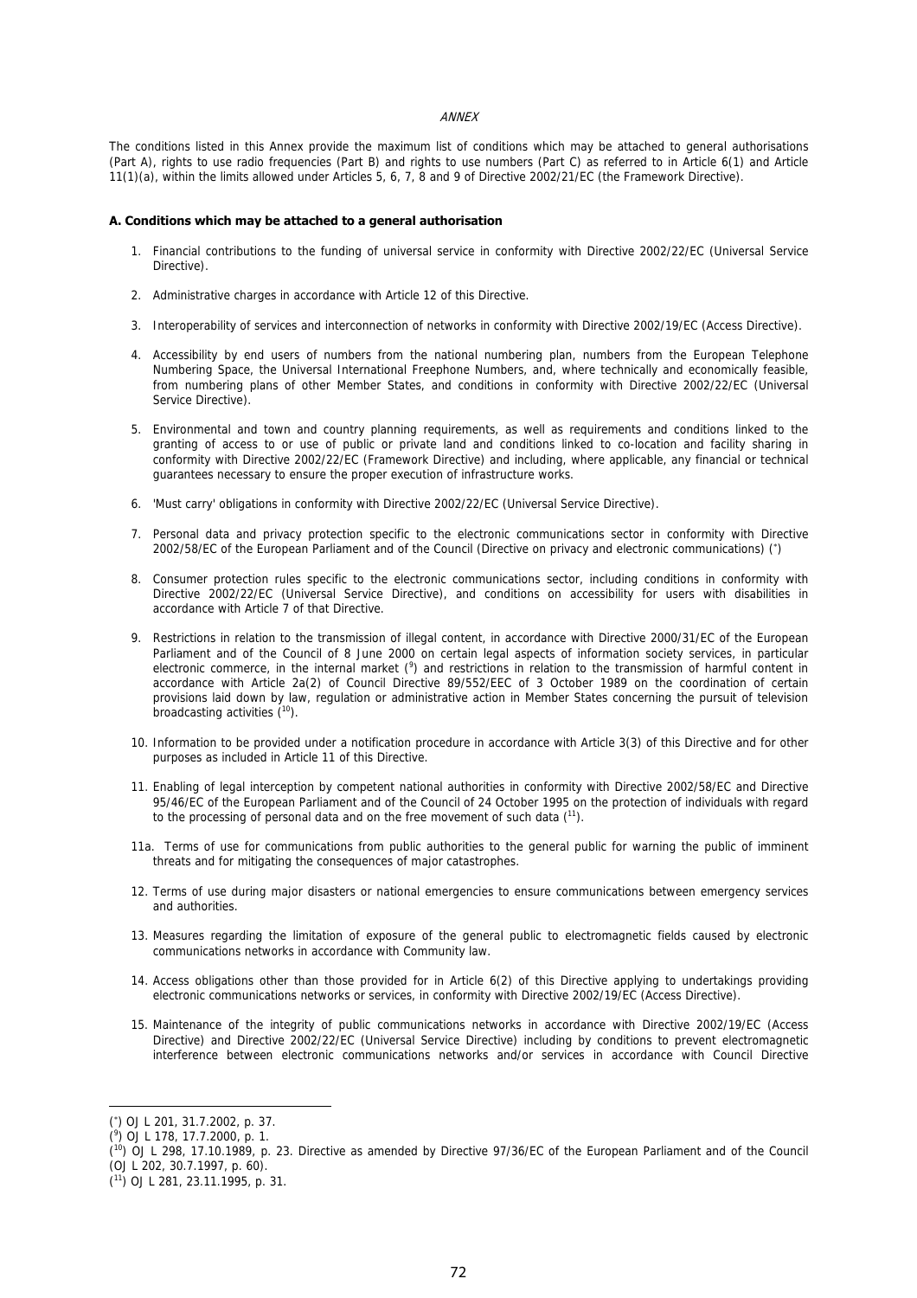### **ANNEX**

The conditions listed in this Annex provide the maximum list of conditions which may be attached to general authorisations (Part A), rights to use radio frequencies (Part B) and rights to use numbers (Part C) as referred to in Article 6(1) and Article 11(1)(a), within the limits allowed under Articles 5, 6, 7, 8 and 9 of Directive 2002/21/EC (the Framework Directive).

## **A. Conditions which may be attached to a general authorisation**

- 1. Financial contributions to the funding of universal service in conformity with Directive 2002/22/EC (Universal Service Directive).
- 2. Administrative charges in accordance with Article 12 of this Directive.
- 3. Interoperability of services and interconnection of networks in conformity with Directive 2002/19/EC (Access Directive).
- 4. Accessibility by end users of numbers from the national numbering plan, numbers from the European Telephone Numbering Space, the Universal International Freephone Numbers, and, where technically and economically feasible, from numbering plans of other Member States, and conditions in conformity with Directive 2002/22/EC (Universal Service Directive).
- 5. Environmental and town and country planning requirements, as well as requirements and conditions linked to the granting of access to or use of public or private land and conditions linked to co-location and facility sharing in conformity with Directive 2002/22/EC (Framework Directive) and including, where applicable, any financial or technical guarantees necessary to ensure the proper execution of infrastructure works.
- 6. 'Must carry' obligations in conformity with Directive 2002/22/EC (Universal Service Directive).
- 7. Personal data and privacy protection specific to the electronic communications sector in conformity with Directive 2002/58/EC of the European Parliament and of the Council (Directive on privacy and electronic communications) (<sup>∗</sup> )
- 8. Consumer protection rules specific to the electronic communications sector, including conditions in conformity with Directive 2002/22/EC (Universal Service Directive), and conditions on accessibility for users with disabilities in accordance with Article 7 of that Directive.
- 9. Restrictions in relation to the transmission of illegal content, in accordance with Directive 2000/31/EC of the European Parliament and of the Council of 8 June 2000 on certain legal aspects of information society services, in particular electronic commerce, in the internal market  $\binom{9}{1}$  and restrictions in relation to the transmission of harmful content in accordance with Article 2a(2) of Council Directive 89/552/EEC of 3 October 1989 on the coordination of certain provisions laid down by law, regulation or administrative action in Member States concerning the pursuit of television broadcasting activities (10).
- 10. Information to be provided under a notification procedure in accordance with Article 3(3) of this Directive and for other purposes as included in Article 11 of this Directive.
- 11. Enabling of legal interception by competent national authorities in conformity with Directive 2002/58/EC and Directive 95/46/EC of the European Parliament and of the Council of 24 October 1995 on the protection of individuals with regard to the processing of personal data and on the free movement of such data  $(^{11})$ .
- 11a. Terms of use for communications from public authorities to the general public for warning the public of imminent threats and for mitigating the consequences of major catastrophes.
- 12. Terms of use during major disasters or national emergencies to ensure communications between emergency services and authorities.
- 13. Measures regarding the limitation of exposure of the general public to electromagnetic fields caused by electronic communications networks in accordance with Community law.
- 14. Access obligations other than those provided for in Article 6(2) of this Directive applying to undertakings providing electronic communications networks or services, in conformity with Directive 2002/19/EC (Access Directive).
- 15. Maintenance of the integrity of public communications networks in accordance with Directive 2002/19/EC (Access Directive) and Directive 2002/22/EC (Universal Service Directive) including by conditions to prevent electromagnetic interference between electronic communications networks and/or services in accordance with Council Directive

-

<sup>(</sup> ∗ ) OJ L 201, 31.7.2002, p. 37.

<sup>(</sup> 9 ) OJ L 178, 17.7.2000, p. 1.

 $(^{10}$  OJ L 298, 17.10.1989, p. 23. Directive as amended by Directive 97/36/EC of the European Parliament and of the Council (OJ L 202, 30.7.1997, p. 60).

<sup>(</sup> 11) OJ L 281, 23.11.1995, p. 31.